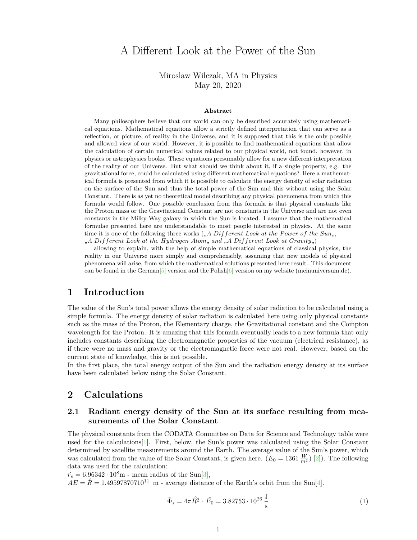# A Different Look at the Power of the Sun

Miroslaw Wilczak, MA in Physics May 20, 2020

#### **Abstract**

Many philosophers believe that our world can only be described accurately using mathematical equations. Mathematical equations allow a strictly defined interpretation that can serve as a reflection, or picture, of reality in the Universe, and it is supposed that this is the only possible and allowed view of our world. However, it is possible to find mathematical equations that allow the calculation of certain numerical values related to our physical world, not found, however, in physics or astrophysics books. These equations presumably allow for a new different interpretation of the reality of our Universe. But what should we think about it, if a single property, e.g. the gravitational force, could be calculated using different mathematical equations? Here a mathematical formula is presented from which it is possible to calculate the energy density of solar radiation on the surface of the Sun and thus the total power of the Sun and this without using the Solar Constant. There is as yet no theoretical model describing any physical phenomena from which this formula would follow. One possible conclusion from this formula is that physical constants like the Proton mass or the Gravitational Constant are not constants in the Universe and are not even constants in the Milky Way galaxy in which the Sun is located. I assume that the mathematical formulae presented here are understandable to most people interested in physics. At the same time it is one of the following three works  $\binom{6}{1}$ , *A Different Look at the Power of the Sun*, "*A Different Look at the Hydrogen Atom*" *and* "*A Different Look at Gravity*")

allowing to explain, with the help of simple mathematical equations of classical physics, the reality in our Universe more simply and comprehensibly, assuming that new models of physical phenomena will arise, from which the mathematical solutions presented here result. This document can be found in the German<sup>[\[5\]](#page-3-0)</sup> version and the Polish<sup>[\[6\]](#page-3-1)</sup> version on my website (meinuniversum.de).

### **1 Introduction**

The value of the Sun's total power allows the energy density of solar radiation to be calculated using a simple formula. The energy density of solar radiation is calculated here using only physical constants such as the mass of the Proton, the Elementary charge, the Gravitational constant and the Compton wavelength for the Proton. It is amazing that this formula eventually leads to a new formula that only includes constants describing the electromagnetic properties of the vacuum (electrical resistance), as if there were no mass and gravity or the electromagnetic force were not real. However, based on the current state of knowledge, this is not possible.

In the first place, the total energy output of the Sun and the radiation energy density at its surface have been calculated below using the Solar Constant.

### **2 Calculations**

#### **2.1 Radiant energy density of the Sun at its surface resulting from measurements of the Solar Constant**

The physical constants from the CODATA Committee on Data for Science and Technology table were used for the calculations[\[1\]](#page-3-2). First, below, the Sun's power was calculated using the Solar Constant determined by satellite measurements around the Earth. The average value of the Sun's power, which was calculated from the value of the Solar Constant, is given here.  $(E_0 = 1361 \frac{W}{m^2})$  [\[2\]](#page-3-3)). The following data was used for the calculation:

 $\hat{r}_s = 6.96342 \cdot 10^8 \text{m}$  - mean radius of the Sun<sup>[\[3\]](#page-3-4)</sup>,

 $AE = \hat{R} = 1.49597870710^{11}$  m - average distance of the Earth's orbit from the Sun<sup>[\[4\]](#page-3-5)</sup>.

$$
\hat{\Phi}_s = 4\pi \hat{R}^2 \cdot \hat{E}_0 = 3.82753 \cdot 10^{26} \frac{\text{J}}{\text{s}}
$$
\n(1)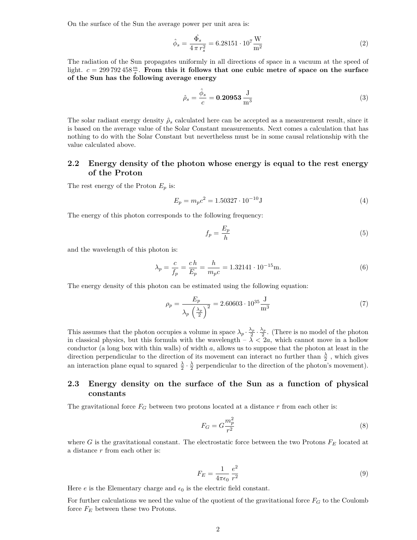On the surface of the Sun the average power per unit area is:

$$
\hat{\phi}_s = \frac{\hat{\Phi_s}}{4\pi r_s^2} = 6.28151 \cdot 10^7 \frac{\text{W}}{\text{m}^2}
$$
\n(2)

The radiation of the Sun propagates uniformly in all directions of space in a vacuum at the speed of light.  $c = 299792458 \frac{m}{s}$ . From this it follows that one cubic metre of space on the surface **of the Sun has the following average energy**

$$
\hat{\rho}_s = \frac{\hat{\phi}_s}{c} = 0.20953 \frac{J}{m^3}
$$
\n(3)

The solar radiant energy density  $\hat{\rho}_s$  calculated here can be accepted as a measurement result, since it is based on the average value of the Solar Constant measurements. Next comes a calculation that has nothing to do with the Solar Constant but nevertheless must be in some causal relationship with the value calculated above.

#### **2.2 Energy density of the photon whose energy is equal to the rest energy of the Proton**

The rest energy of the Proton  $E_p$  is:

$$
E_p = m_p c^2 = 1.50327 \cdot 10^{-10} \text{J}
$$
\n<sup>(4)</sup>

The energy of this photon corresponds to the following frequency:

$$
f_p = \frac{E_p}{h} \tag{5}
$$

and the wavelength of this photon is:

$$
\lambda_p = \frac{c}{f_p} = \frac{ch}{E_p} = \frac{h}{m_p c} = 1.32141 \cdot 10^{-15} \text{m}.
$$
\n(6)

The energy density of this photon can be estimated using the following equation:

$$
\rho_p = \frac{E_p}{\lambda_p \left(\frac{\lambda_p}{2}\right)^2} = 2.60603 \cdot 10^{35} \frac{\text{J}}{\text{m}^3} \tag{7}
$$

This assumes that the photon occupies a volume in space  $\lambda_p \cdot \frac{\lambda_p}{2} \cdot \frac{\lambda_p}{2}$ . (There is no model of the photon in classical physics, but this formula with the wavelength  $-\lambda < 2a$ , which cannot move in a hollow conductor (a long box with thin walls) of width *a*, allows us to suppose that the photon at least in the direction perpendicular to the direction of its movement can interact no further than  $\frac{\lambda}{2}$ , which gives an interaction plane equal to squared  $\frac{\lambda}{2} \cdot \frac{\lambda}{2}$  perpendicular to the direction of the photon's movement).

#### **2.3 Energy density on the surface of the Sun as a function of physical constants**

The gravitational force  $F_G$  between two protons located at a distance  $r$  from each other is:

$$
F_G = G \frac{m_p^2}{r^2} \tag{8}
$$

where *G* is the gravitational constant. The electrostatic force between the two Protons *F<sup>E</sup>* located at a distance *r* from each other is:

$$
F_E = \frac{1}{4\pi\epsilon_0} \frac{e^2}{r^2}
$$
 (9)

Here *e* is the Elementary charge and  $\epsilon_0$  is the electric field constant.

For further calculations we need the value of the quotient of the gravitational force *F<sup>G</sup>* to the Coulomb force *F<sup>E</sup>* between these two Protons.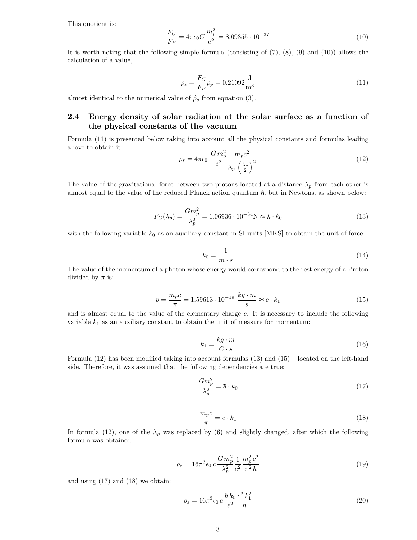This quotient is:

$$
\frac{F_G}{F_E} = 4\pi\epsilon_0 G \frac{m_p^2}{e^2} = 8.09355 \cdot 10^{-37}
$$
\n(10)

It is worth noting that the following simple formula (consisting of (7), (8), (9) and (10)) allows the calculation of a value,

$$
\rho_s = \frac{F_G}{F_E} \rho_p = 0.21092 \frac{\text{J}}{\text{m}^3} \tag{11}
$$

almost identical to the numerical value of  $\hat{\rho}_s$  from equation (3).

### **2.4 Energy density of solar radiation at the solar surface as a function of the physical constants of the vacuum**

Formula (11) is presented below taking into account all the physical constants and formulas leading above to obtain it:

$$
\rho_s = 4\pi\epsilon_0 \frac{Gm_p^2}{e^2} \frac{m_p c^2}{\lambda_p \left(\frac{\lambda_p}{2}\right)^2}
$$
\n(12)

The value of the gravitational force between two protons located at a distance  $\lambda_p$  from each other is almost equal to the value of the reduced Planck action quantum  $\hbar$ , but in Newtons, as shown below:

$$
F_G(\lambda_p) = \frac{Gm_p^2}{\lambda_p^2} = 1.06936 \cdot 10^{-34} \text{N} \approx \hbar \cdot k_0 \tag{13}
$$

with the following variable  $k_0$  as an auxiliary constant in SI units  $[MKS]$  to obtain the unit of force:

$$
k_0 = \frac{1}{m \cdot s} \tag{14}
$$

The value of the momentum of a photon whose energy would correspond to the rest energy of a Proton divided by  $\pi$  is:

$$
p = \frac{m_p c}{\pi} = 1.59613 \cdot 10^{-19} \frac{kg \cdot m}{s} \approx e \cdot k_1 \tag{15}
$$

and is almost equal to the value of the elementary charge *e*. It is necessary to include the following variable  $k_1$  as an auxiliary constant to obtain the unit of measure for momentum:

$$
k_1 = \frac{kg \cdot m}{C \cdot s} \tag{16}
$$

Formula (12) has been modified taking into account formulas (13) and (15) – located on the left-hand side. Therefore, it was assumed that the following dependencies are true:

$$
\frac{Gm_p^2}{\lambda_p^2} = \hbar \cdot k_0 \tag{17}
$$

$$
\frac{m_p c}{\pi} = e \cdot k_1 \tag{18}
$$

In formula (12), one of the  $\lambda_p$  was replaced by (6) and slightly changed, after which the following formula was obtained:

$$
\rho_s = 16\pi^3 \epsilon_0 c \frac{Gm_p^2}{\lambda_p^2} \frac{1}{e^2} \frac{m_p^2 c^2}{\pi^2 h}
$$
\n(19)

and using (17) and (18) we obtain:

$$
\rho_s = 16\pi^3 \epsilon_0 \, c \, \frac{\hbar \, k_0}{e^2} \frac{e^2 \, k_1^2}{h} \tag{20}
$$